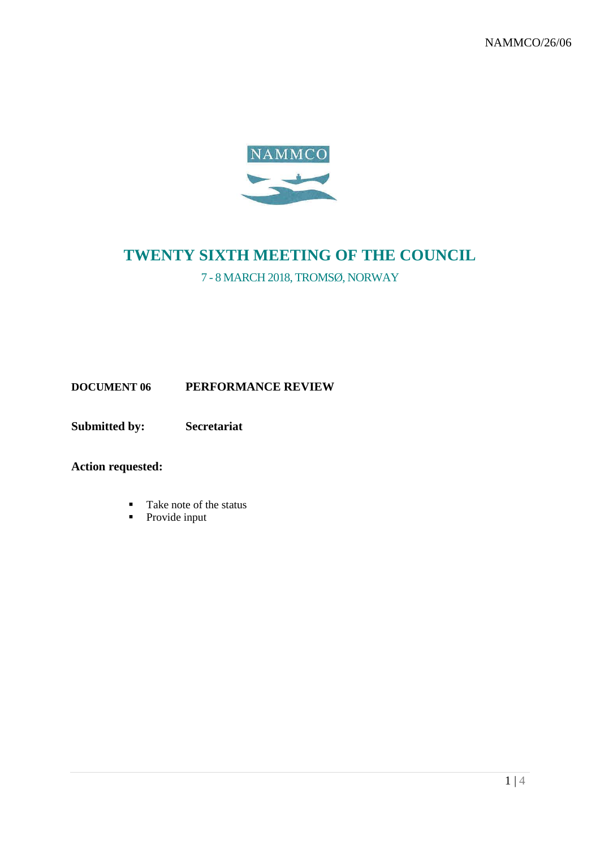NAMMCO/26/06



# **TWENTY SIXTH MEETING OF THE COUNCIL**

7 - 8 MARCH 2018, TROMSØ, NORWAY

**DOCUMENT 06 PERFORMANCE REVIEW**

**Submitted by: Secretariat**

**Action requested:**

- Take note of the status
- Provide input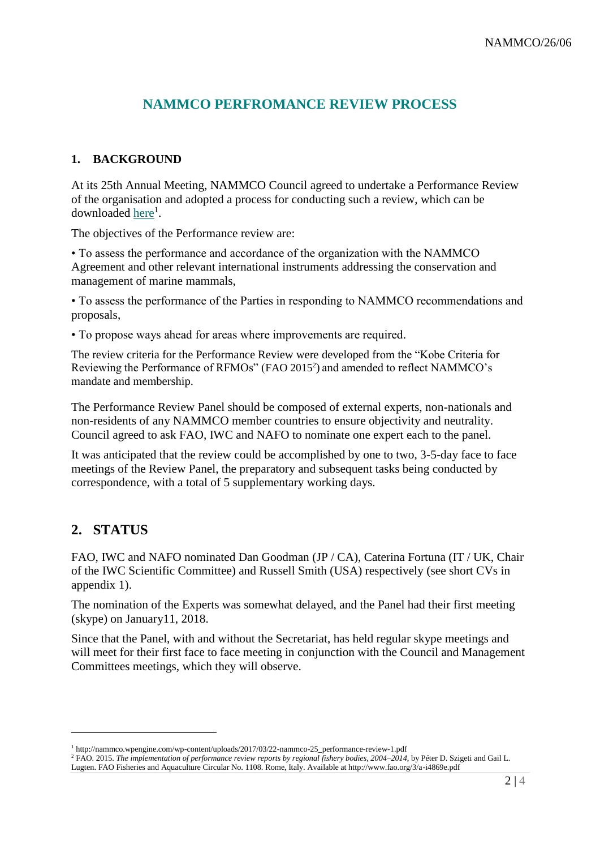## **NAMMCO PERFROMANCE REVIEW PROCESS**

#### **1. BACKGROUND**

At its 25th Annual Meeting, NAMMCO Council agreed to undertake a Performance Review of the organisation and adopted a process for conducting such a review, which can be downloaded <u>here</u><sup>1</sup>.

The objectives of the Performance review are:

• To assess the performance and accordance of the organization with the NAMMCO Agreement and other relevant international instruments addressing the conservation and management of marine mammals,

• To assess the performance of the Parties in responding to NAMMCO recommendations and proposals,

• To propose ways ahead for areas where improvements are required.

The review criteria for the Performance Review were developed from the "Kobe Criteria for Reviewing the Performance of RFMOs" (FAO 2015<sup>2</sup>) and amended to reflect NAMMCO's mandate and membership.

The Performance Review Panel should be composed of external experts, non-nationals and non-residents of any NAMMCO member countries to ensure objectivity and neutrality. Council agreed to ask FAO, IWC and NAFO to nominate one expert each to the panel.

It was anticipated that the review could be accomplished by one to two, 3-5-day face to face meetings of the Review Panel, the preparatory and subsequent tasks being conducted by correspondence, with a total of 5 supplementary working days.

## **2. STATUS**

1

FAO, IWC and NAFO nominated Dan Goodman (JP / CA), Caterina Fortuna (IT / UK, Chair of the IWC Scientific Committee) and Russell Smith (USA) respectively (see short CVs in appendix 1).

The nomination of the Experts was somewhat delayed, and the Panel had their first meeting (skype) on January11, 2018.

Since that the Panel, with and without the Secretariat, has held regular skype meetings and will meet for their first face to face meeting in conjunction with the Council and Management Committees meetings, which they will observe.

<sup>&</sup>lt;sup>1</sup> http://nammco.wpengine.com/wp-content/uploads/2017/03/22-nammco-25\_performance-review-1.pdf

<sup>2</sup> FAO. 2015. *The implementation of performance review reports by regional fishery bodies, 2004–2014*, by Péter D. Szigeti and Gail L. Lugten. FAO Fisheries and Aquaculture Circular No. 1108. Rome, Italy. Available at http://www.fao.org/3/a-i4869e.pdf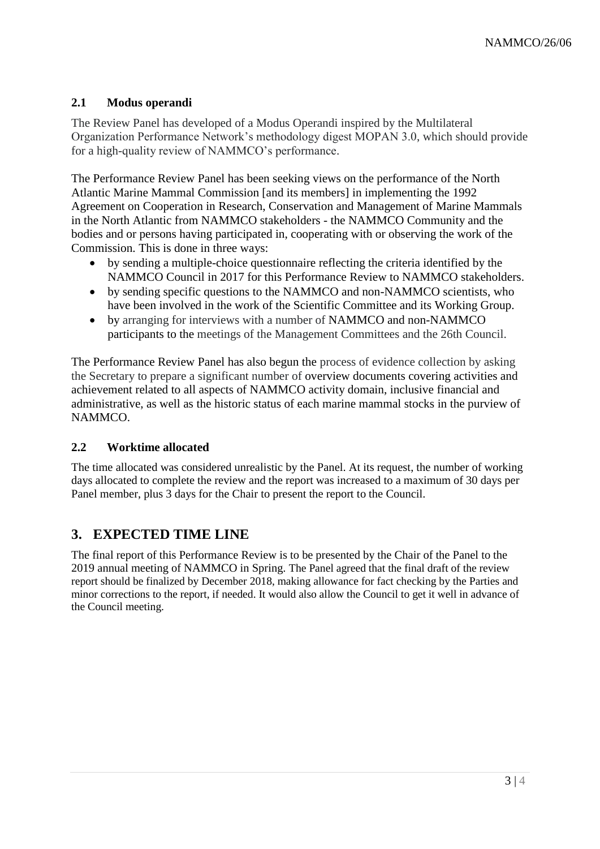### **2.1 Modus operandi**

The Review Panel has developed of a Modus Operandi inspired by the Multilateral Organization Performance Network's methodology digest MOPAN 3.0, which should provide for a high-quality review of NAMMCO's performance.

The Performance Review Panel has been seeking views on the performance of the North Atlantic Marine Mammal Commission [and its members] in implementing the 1992 Agreement on Cooperation in Research, Conservation and Management of Marine Mammals in the North Atlantic from NAMMCO stakeholders - the NAMMCO Community and the bodies and or persons having participated in, cooperating with or observing the work of the Commission. This is done in three ways:

- by sending a multiple-choice questionnaire reflecting the criteria identified by the NAMMCO Council in 2017 for this Performance Review to NAMMCO stakeholders.
- by sending specific questions to the NAMMCO and non-NAMMCO scientists, who have been involved in the work of the Scientific Committee and its Working Group.
- by arranging for interviews with a number of NAMMCO and non-NAMMCO participants to the meetings of the Management Committees and the 26th Council.

The Performance Review Panel has also begun the process of evidence collection by asking the Secretary to prepare a significant number of overview documents covering activities and achievement related to all aspects of NAMMCO activity domain, inclusive financial and administrative, as well as the historic status of each marine mammal stocks in the purview of NAMMCO.

#### **2.2 Worktime allocated**

The time allocated was considered unrealistic by the Panel. At its request, the number of working days allocated to complete the review and the report was increased to a maximum of 30 days per Panel member, plus 3 days for the Chair to present the report to the Council.

### **3. EXPECTED TIME LINE**

The final report of this Performance Review is to be presented by the Chair of the Panel to the 2019 annual meeting of NAMMCO in Spring. The Panel agreed that the final draft of the review report should be finalized by December 2018, making allowance for fact checking by the Parties and minor corrections to the report, if needed. It would also allow the Council to get it well in advance of the Council meeting.